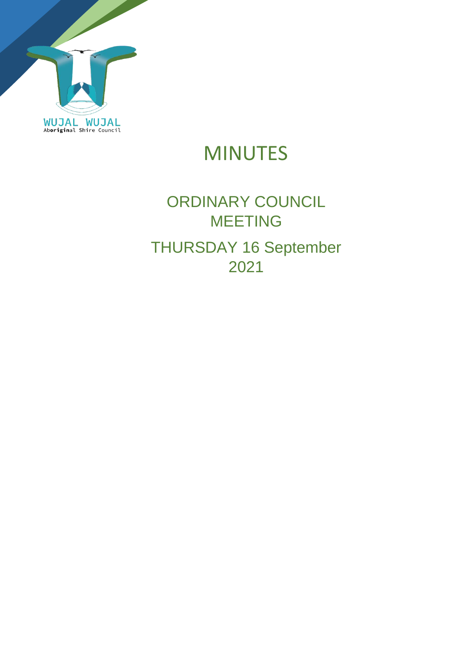

# MINUTES

# ORDINARY COUNCIL MEETING THURSDAY 16 September 2021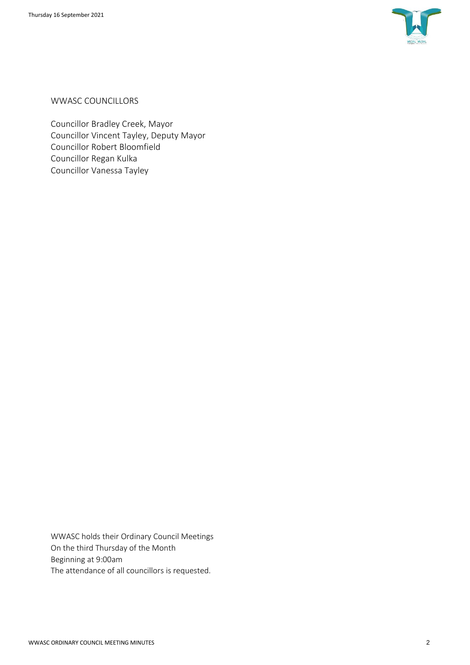

WWASC COUNCILLORS

Councillor Bradley Creek, Mayor Councillor Vincent Tayley, Deputy Mayor Councillor Robert Bloomfield Councillor Regan Kulka Councillor Vanessa Tayley

WWASC holds their Ordinary Council Meetings On the third Thursday of the Month Beginning at 9:00am The attendance of all councillors is requested.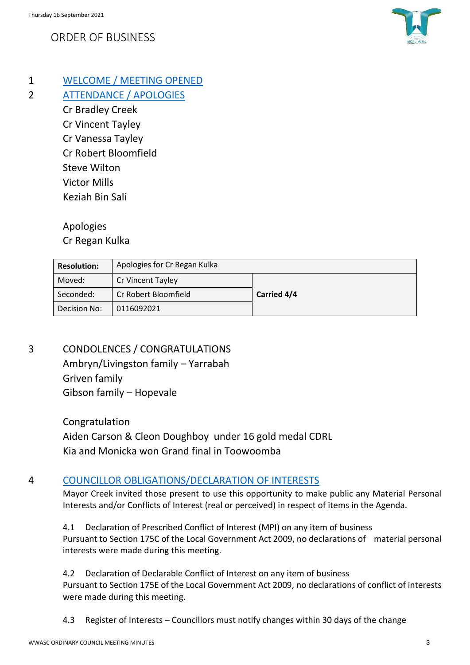## ORDER OF BUSINESS



- 1 WELCOME / MEETING OPENED
- 2 ATTENDANCE / APOLOGIES
	- Cr Bradley Creek Cr Vincent Tayley Cr Vanessa Tayley Cr Robert Bloomfield Steve Wilton Victor Mills Keziah Bin Sali

Apologies

Cr Regan Kulka

| <b>Resolution:</b> | Apologies for Cr Regan Kulka |                    |
|--------------------|------------------------------|--------------------|
| Moved:             | Cr Vincent Tayley            |                    |
| Seconded:          | Cr Robert Bloomfield         | <b>Carried 4/4</b> |
| Decision No:       | 0116092021                   |                    |

3 CONDOLENCES / CONGRATULATIONS

Ambryn/Livingston family – Yarrabah Griven family Gibson family – Hopevale

Congratulation Aiden Carson & Cleon Doughboy under 16 gold medal CDRL Kia and Monicka won Grand final in Toowoomba

### 4 COUNCILLOR OBLIGATIONS/DECLARATION OF INTERESTS

Mayor Creek invited those present to use this opportunity to make public any Material Personal Interests and/or Conflicts of Interest (real or perceived) in respect of items in the Agenda.

4.1 Declaration of Prescribed Conflict of Interest (MPI) on any item of business Pursuant to Section 175C of the Local Government Act 2009, no declarations of material personal interests were made during this meeting.

4.2 Declaration of Declarable Conflict of Interest on any item of business Pursuant to Section 175E of the Local Government Act 2009, no declarations of conflict of interests were made during this meeting.

4.3 Register of Interests – Councillors must notify changes within 30 days of the change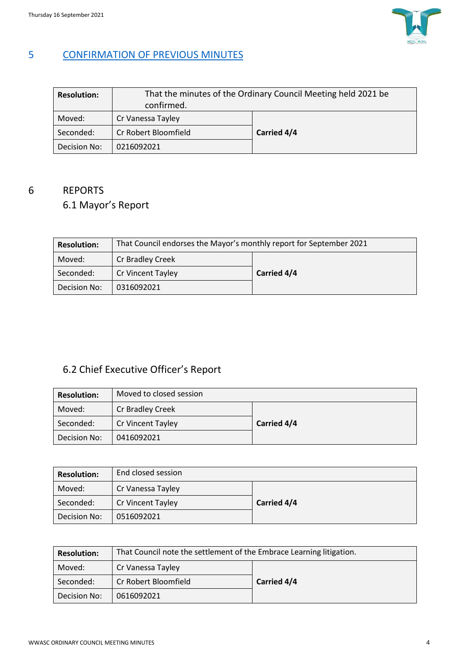

### 5 CONFIRMATION OF PREVIOUS MINUTES

| <b>Resolution:</b> | That the minutes of the Ordinary Council Meeting held 2021 be<br>confirmed. |             |
|--------------------|-----------------------------------------------------------------------------|-------------|
| Moved:             | Cr Vanessa Tayley                                                           |             |
| Seconded:          | Cr Robert Bloomfield                                                        | Carried 4/4 |
| Decision No:       | 0216092021                                                                  |             |

# 6 REPORTS

## 6.1 Mayor's Report

| <b>Resolution:</b> | That Council endorses the Mayor's monthly report for September 2021 |             |  |
|--------------------|---------------------------------------------------------------------|-------------|--|
| Moved:             | Cr Bradley Creek                                                    |             |  |
| Seconded:          | <b>Cr Vincent Tayley</b>                                            | Carried 4/4 |  |
| Decision No:       | 0316092021                                                          |             |  |

## 6.2 Chief Executive Officer's Report

| <b>Resolution:</b> | Moved to closed session |             |
|--------------------|-------------------------|-------------|
| Moved:             | Cr Bradley Creek        |             |
| Seconded:          | Cr Vincent Tayley       | Carried 4/4 |
| Decision No:       | 0416092021              |             |

| <b>Resolution:</b> | End closed session |             |
|--------------------|--------------------|-------------|
| Moved:             | Cr Vanessa Tayley  |             |
| Seconded:          | Cr Vincent Tayley  | Carried 4/4 |
| Decision No:       | 0516092021         |             |

| <b>Resolution:</b> | That Council note the settlement of the Embrace Learning litigation. |             |  |
|--------------------|----------------------------------------------------------------------|-------------|--|
| Moved:             | Cr Vanessa Tayley                                                    |             |  |
| Seconded:          | Cr Robert Bloomfield                                                 | Carried 4/4 |  |
| Decision No:       | 0616092021                                                           |             |  |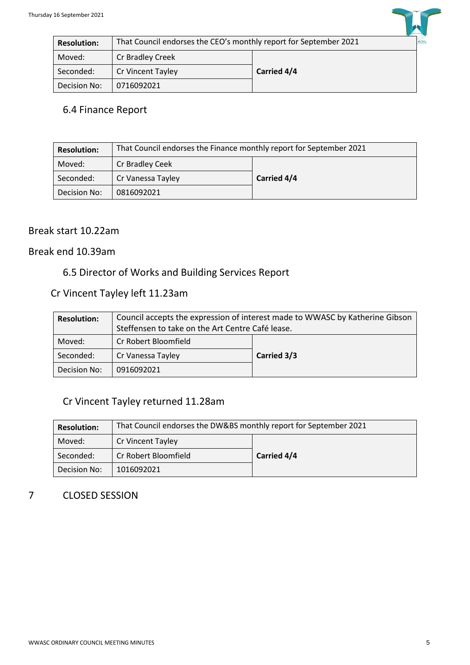| <b>Resolution:</b> | That Council endorses the CEO's monthly report for September 2021<br><b>WUJAL</b> |             |
|--------------------|-----------------------------------------------------------------------------------|-------------|
| Moved:             | Cr Bradley Creek                                                                  |             |
| Seconded:          | Cr Vincent Tayley                                                                 | Carried 4/4 |
| Decision No:       | 0716092021                                                                        |             |

### 6.4 Finance Report

| <b>Resolution:</b> | That Council endorses the Finance monthly report for September 2021 |             |  |
|--------------------|---------------------------------------------------------------------|-------------|--|
| Moved:             | Cr Bradley Ceek                                                     |             |  |
| Seconded:          | Cr Vanessa Tayley                                                   | Carried 4/4 |  |
| Decision No:       | 0816092021                                                          |             |  |

#### Break start 10.22am

#### Break end 10.39am

### 6.5 Director of Works and Building Services Report

## Cr Vincent Tayley left 11.23am

| <b>Resolution:</b> | Council accepts the expression of interest made to WWASC by Katherine Gibson |             |
|--------------------|------------------------------------------------------------------------------|-------------|
|                    | Steffensen to take on the Art Centre Café lease.                             |             |
| Moved:             | Cr Robert Bloomfield                                                         |             |
| Seconded:          | Cr Vanessa Tayley                                                            | Carried 3/3 |
| Decision No:       | 0916092021                                                                   |             |

### Cr Vincent Tayley returned 11.28am

| <b>Resolution:</b> | That Council endorses the DW&BS monthly report for September 2021 |             |  |
|--------------------|-------------------------------------------------------------------|-------------|--|
| Moved:             | Cr Vincent Tayley                                                 |             |  |
| Seconded:          | Cr Robert Bloomfield                                              | Carried 4/4 |  |
| Decision No:       | 1016092021                                                        |             |  |

#### 7 CLOSED SESSION